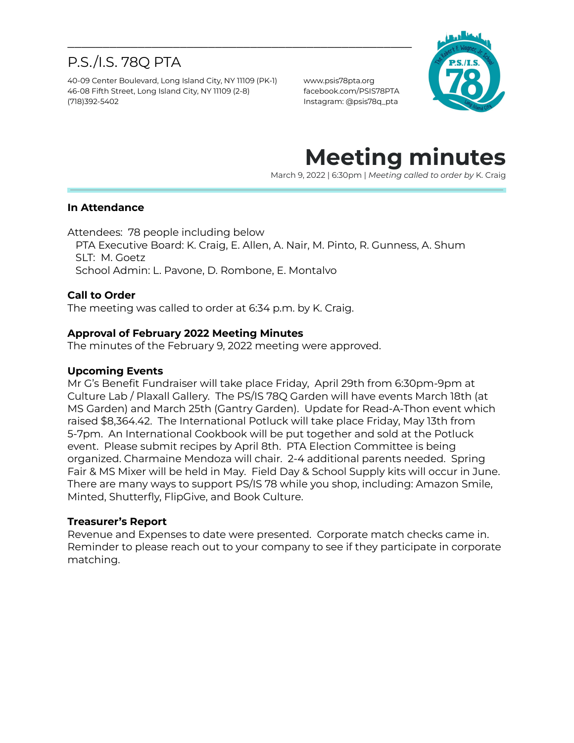# P.S./I.S. 78Q PTA

40-09 Center Boulevard, Long Island City, NY 11109 (PK-1) www.psis78pta.org 46-08 Fifth Street, Long Island City, NY 11109 (2-8) facebook.com/PSIS78PTA (718)392-5402 Instagram: @psis78q\_pta



# **Meeting minutes**

March 9, 2022 | 6:30pm | *Meeting called to order by* K. Craig

### **In Attendance**

Attendees: 78 people including below

PTA Executive Board: K. Craig, E. Allen, A. Nair, M. Pinto, R. Gunness, A. Shum SLT: M. Goetz School Admin: L. Pavone, D. Rombone, E. Montalvo

\_\_\_\_\_\_\_\_\_\_\_\_\_\_\_\_\_\_\_\_\_\_\_\_\_\_\_\_\_\_\_\_\_\_\_\_\_\_\_\_\_\_\_\_\_\_\_\_\_

### **Call to Order**

The meeting was called to order at 6:34 p.m. by K. Craig.

### **Approval of February 2022 Meeting Minutes**

The minutes of the February 9, 2022 meeting were approved.

#### **Upcoming Events**

Mr G's Benefit Fundraiser will take place Friday, April 29th from 6:30pm-9pm at Culture Lab / Plaxall Gallery. The PS/IS 78Q Garden will have events March 18th (at MS Garden) and March 25th (Gantry Garden). Update for Read-A-Thon event which raised \$8,364.42. The International Potluck will take place Friday, May 13th from 5-7pm. An International Cookbook will be put together and sold at the Potluck event. Please submit recipes by April 8th. PTA Election Committee is being organized. Charmaine Mendoza will chair. 2-4 additional parents needed. Spring Fair & MS Mixer will be held in May. Field Day & School Supply kits will occur in June. There are many ways to support PS/IS 78 while you shop, including: Amazon Smile, Minted, Shutterfly, FlipGive, and Book Culture.

### **Treasurer's Report**

Revenue and Expenses to date were presented. Corporate match checks came in. Reminder to please reach out to your company to see if they participate in corporate matching.